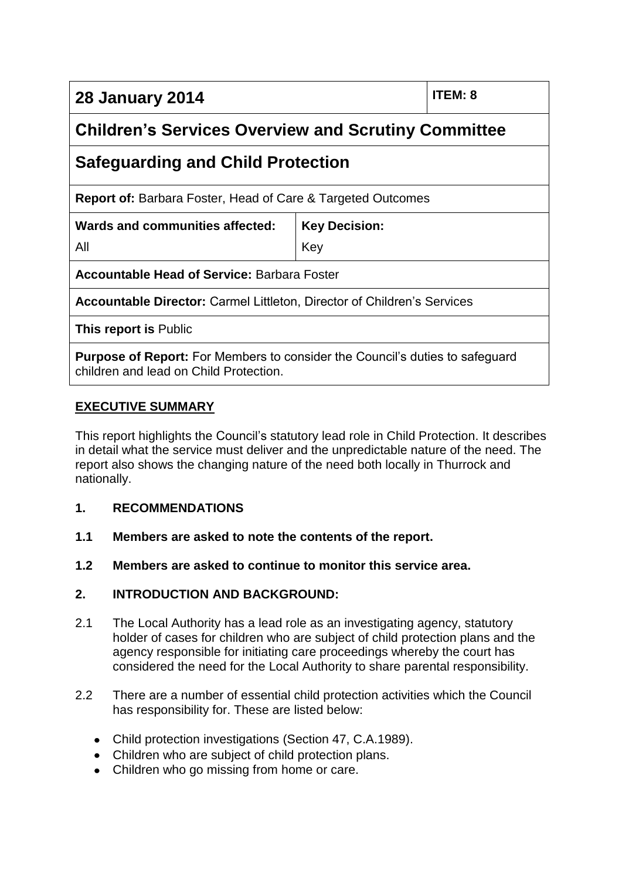**28 January 2014 ITEM: 8**

## **Children's Services Overview and Scrutiny Committee**

# **Safeguarding and Child Protection**

**Report of:** Barbara Foster, Head of Care & Targeted Outcomes

| Wards and communities affected:   Key Decision: |            |
|-------------------------------------------------|------------|
| All                                             | <b>Key</b> |

**Accountable Head of Service:** Barbara Foster

**Accountable Director:** Carmel Littleton, Director of Children's Services

**This report is** Public

**Purpose of Report:** For Members to consider the Council's duties to safeguard children and lead on Child Protection.

### **EXECUTIVE SUMMARY**

This report highlights the Council's statutory lead role in Child Protection. It describes in detail what the service must deliver and the unpredictable nature of the need. The report also shows the changing nature of the need both locally in Thurrock and nationally.

#### **1. RECOMMENDATIONS**

- **1.1 Members are asked to note the contents of the report.**
- **1.2 Members are asked to continue to monitor this service area.**

## **2. INTRODUCTION AND BACKGROUND:**

- 2.1 The Local Authority has a lead role as an investigating agency, statutory holder of cases for children who are subject of child protection plans and the agency responsible for initiating care proceedings whereby the court has considered the need for the Local Authority to share parental responsibility.
- 2.2 There are a number of essential child protection activities which the Council has responsibility for. These are listed below:
	- Child protection investigations (Section 47, C.A.1989).
	- Children who are subject of child protection plans.
	- Children who go missing from home or care.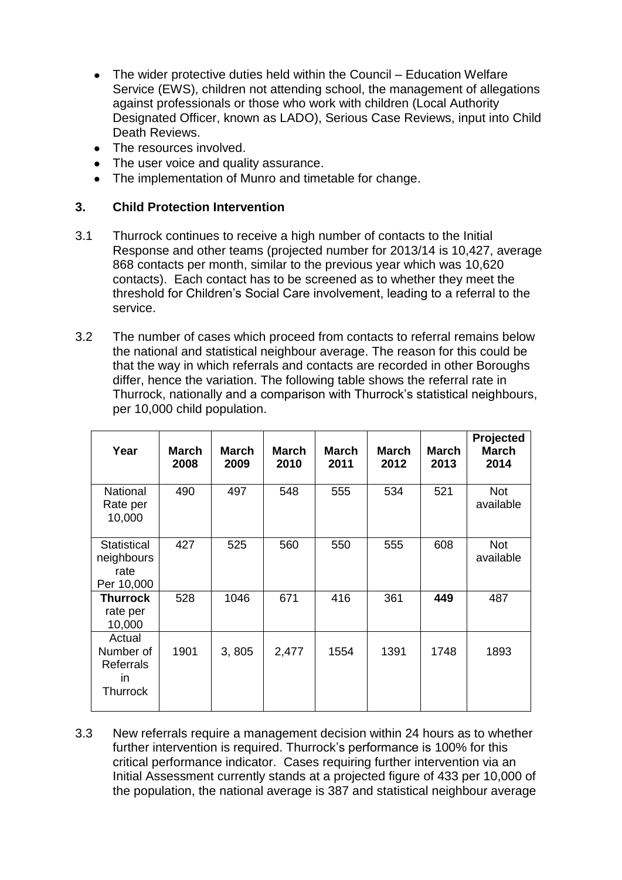- The wider protective duties held within the Council Education Welfare  $\bullet$ Service (EWS), children not attending school, the management of allegations against professionals or those who work with children (Local Authority Designated Officer, known as LADO), Serious Case Reviews, input into Child Death Reviews.
- The resources involved.
- The user voice and quality assurance.
- The implementation of Munro and timetable for change.

### **3. Child Protection Intervention**

- 3.1 Thurrock continues to receive a high number of contacts to the Initial Response and other teams (projected number for 2013/14 is 10,427, average 868 contacts per month, similar to the previous year which was 10,620 contacts). Each contact has to be screened as to whether they meet the threshold for Children's Social Care involvement, leading to a referral to the service.
- 3.2 The number of cases which proceed from contacts to referral remains below the national and statistical neighbour average. The reason for this could be that the way in which referrals and contacts are recorded in other Boroughs differ, hence the variation. The following table shows the referral rate in Thurrock, nationally and a comparison with Thurrock's statistical neighbours, per 10,000 child population.

| Year                                                              | March<br>2008 | <b>March</b><br>2009 | <b>March</b><br>2010 | <b>March</b><br>2011 | March<br>2012 | <b>March</b><br>2013 | Projected<br><b>March</b><br>2014 |
|-------------------------------------------------------------------|---------------|----------------------|----------------------|----------------------|---------------|----------------------|-----------------------------------|
| <b>National</b><br>Rate per<br>10,000                             | 490           | 497                  | 548                  | 555                  | 534           | 521                  | <b>Not</b><br>available           |
| Statistical<br>neighbours<br>rate<br>Per 10,000                   | 427           | 525                  | 560                  | 550                  | 555           | 608                  | <b>Not</b><br>available           |
| <b>Thurrock</b><br>rate per<br>10,000                             | 528           | 1046                 | 671                  | 416                  | 361           | 449                  | 487                               |
| Actual<br>Number of<br><b>Referrals</b><br>in.<br><b>Thurrock</b> | 1901          | 3,805                | 2,477                | 1554                 | 1391          | 1748                 | 1893                              |

3.3 New referrals require a management decision within 24 hours as to whether further intervention is required. Thurrock's performance is 100% for this critical performance indicator. Cases requiring further intervention via an Initial Assessment currently stands at a projected figure of 433 per 10,000 of the population, the national average is 387 and statistical neighbour average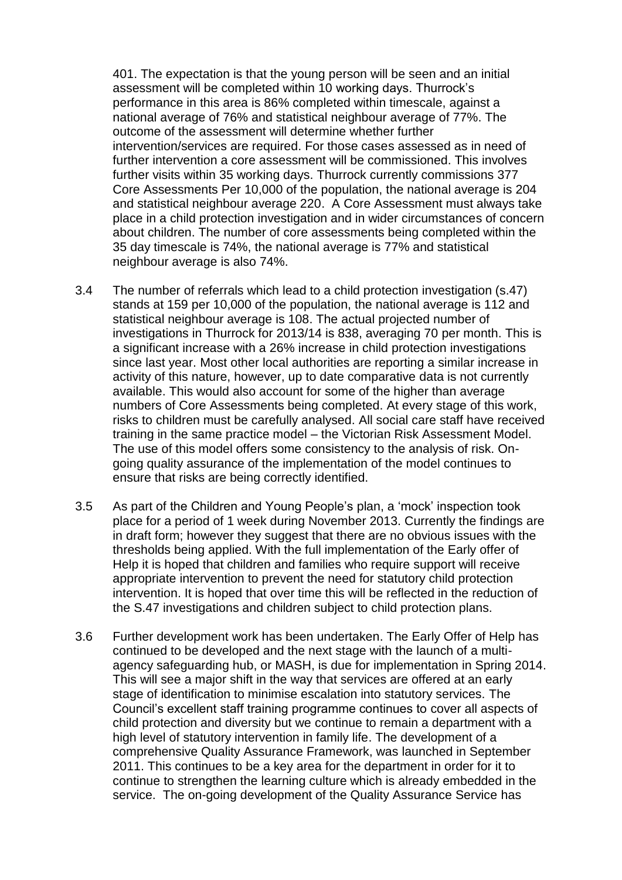401. The expectation is that the young person will be seen and an initial assessment will be completed within 10 working days. Thurrock's performance in this area is 86% completed within timescale, against a national average of 76% and statistical neighbour average of 77%. The outcome of the assessment will determine whether further intervention/services are required. For those cases assessed as in need of further intervention a core assessment will be commissioned. This involves further visits within 35 working days. Thurrock currently commissions 377 Core Assessments Per 10,000 of the population, the national average is 204 and statistical neighbour average 220. A Core Assessment must always take place in a child protection investigation and in wider circumstances of concern about children. The number of core assessments being completed within the 35 day timescale is 74%, the national average is 77% and statistical neighbour average is also 74%.

- 3.4 The number of referrals which lead to a child protection investigation (s.47) stands at 159 per 10,000 of the population, the national average is 112 and statistical neighbour average is 108. The actual projected number of investigations in Thurrock for 2013/14 is 838, averaging 70 per month. This is a significant increase with a 26% increase in child protection investigations since last year. Most other local authorities are reporting a similar increase in activity of this nature, however, up to date comparative data is not currently available. This would also account for some of the higher than average numbers of Core Assessments being completed. At every stage of this work, risks to children must be carefully analysed. All social care staff have received training in the same practice model – the Victorian Risk Assessment Model. The use of this model offers some consistency to the analysis of risk. Ongoing quality assurance of the implementation of the model continues to ensure that risks are being correctly identified.
- 3.5 As part of the Children and Young People's plan, a 'mock' inspection took place for a period of 1 week during November 2013. Currently the findings are in draft form; however they suggest that there are no obvious issues with the thresholds being applied. With the full implementation of the Early offer of Help it is hoped that children and families who require support will receive appropriate intervention to prevent the need for statutory child protection intervention. It is hoped that over time this will be reflected in the reduction of the S.47 investigations and children subject to child protection plans.
- 3.6 Further development work has been undertaken. The Early Offer of Help has continued to be developed and the next stage with the launch of a multiagency safeguarding hub, or MASH, is due for implementation in Spring 2014. This will see a major shift in the way that services are offered at an early stage of identification to minimise escalation into statutory services. The Council's excellent staff training programme continues to cover all aspects of child protection and diversity but we continue to remain a department with a high level of statutory intervention in family life. The development of a comprehensive Quality Assurance Framework, was launched in September 2011. This continues to be a key area for the department in order for it to continue to strengthen the learning culture which is already embedded in the service. The on-going development of the Quality Assurance Service has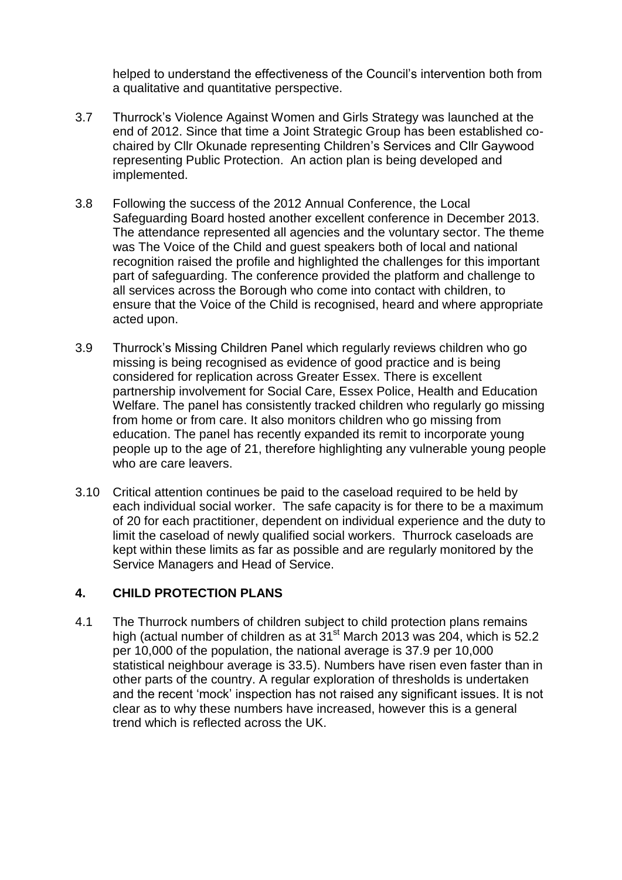helped to understand the effectiveness of the Council's intervention both from a qualitative and quantitative perspective.

- 3.7 Thurrock's Violence Against Women and Girls Strategy was launched at the end of 2012. Since that time a Joint Strategic Group has been established cochaired by Cllr Okunade representing Children's Services and Cllr Gaywood representing Public Protection. An action plan is being developed and implemented.
- 3.8 Following the success of the 2012 Annual Conference, the Local Safeguarding Board hosted another excellent conference in December 2013. The attendance represented all agencies and the voluntary sector. The theme was The Voice of the Child and guest speakers both of local and national recognition raised the profile and highlighted the challenges for this important part of safeguarding. The conference provided the platform and challenge to all services across the Borough who come into contact with children, to ensure that the Voice of the Child is recognised, heard and where appropriate acted upon.
- 3.9 Thurrock's Missing Children Panel which regularly reviews children who go missing is being recognised as evidence of good practice and is being considered for replication across Greater Essex. There is excellent partnership involvement for Social Care, Essex Police, Health and Education Welfare. The panel has consistently tracked children who regularly go missing from home or from care. It also monitors children who go missing from education. The panel has recently expanded its remit to incorporate young people up to the age of 21, therefore highlighting any vulnerable young people who are care leavers.
- 3.10 Critical attention continues be paid to the caseload required to be held by each individual social worker. The safe capacity is for there to be a maximum of 20 for each practitioner, dependent on individual experience and the duty to limit the caseload of newly qualified social workers. Thurrock caseloads are kept within these limits as far as possible and are regularly monitored by the Service Managers and Head of Service.

#### **4. CHILD PROTECTION PLANS**

4.1 The Thurrock numbers of children subject to child protection plans remains high (actual number of children as at  $31<sup>st</sup>$  March 2013 was 204, which is 52.2 per 10,000 of the population, the national average is 37.9 per 10,000 statistical neighbour average is 33.5). Numbers have risen even faster than in other parts of the country. A regular exploration of thresholds is undertaken and the recent 'mock' inspection has not raised any significant issues. It is not clear as to why these numbers have increased, however this is a general trend which is reflected across the UK.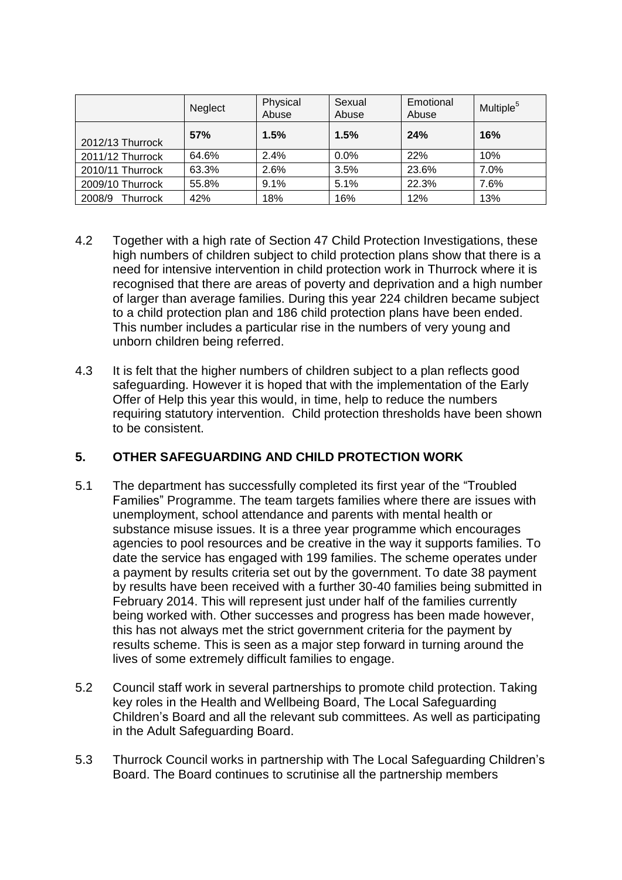|                  | Neglect | Physical<br>Abuse | Sexual<br>Abuse | Emotional<br>Abuse | Multiple <sup>5</sup> |
|------------------|---------|-------------------|-----------------|--------------------|-----------------------|
| 2012/13 Thurrock | 57%     | 1.5%              | 1.5%            | 24%                | 16%                   |
| 2011/12 Thurrock | 64.6%   | 2.4%              | 0.0%            | 22%                | 10%                   |
| 2010/11 Thurrock | 63.3%   | 2.6%              | 3.5%            | 23.6%              | 7.0%                  |
| 2009/10 Thurrock | 55.8%   | 9.1%              | 5.1%            | 22.3%              | 7.6%                  |
| 2008/9 Thurrock  | 42%     | 18%               | 16%             | 12%                | 13%                   |

- 4.2 Together with a high rate of Section 47 Child Protection Investigations, these high numbers of children subject to child protection plans show that there is a need for intensive intervention in child protection work in Thurrock where it is recognised that there are areas of poverty and deprivation and a high number of larger than average families. During this year 224 children became subject to a child protection plan and 186 child protection plans have been ended. This number includes a particular rise in the numbers of very young and unborn children being referred.
- 4.3 It is felt that the higher numbers of children subject to a plan reflects good safeguarding. However it is hoped that with the implementation of the Early Offer of Help this year this would, in time, help to reduce the numbers requiring statutory intervention. Child protection thresholds have been shown to be consistent.

## **5. OTHER SAFEGUARDING AND CHILD PROTECTION WORK**

- 5.1 The department has successfully completed its first year of the "Troubled Families" Programme. The team targets families where there are issues with unemployment, school attendance and parents with mental health or substance misuse issues. It is a three year programme which encourages agencies to pool resources and be creative in the way it supports families. To date the service has engaged with 199 families. The scheme operates under a payment by results criteria set out by the government. To date 38 payment by results have been received with a further 30-40 families being submitted in February 2014. This will represent just under half of the families currently being worked with. Other successes and progress has been made however, this has not always met the strict government criteria for the payment by results scheme. This is seen as a major step forward in turning around the lives of some extremely difficult families to engage.
- 5.2 Council staff work in several partnerships to promote child protection. Taking key roles in the Health and Wellbeing Board, The Local Safeguarding Children's Board and all the relevant sub committees. As well as participating in the Adult Safeguarding Board.
- 5.3 Thurrock Council works in partnership with The Local Safeguarding Children's Board. The Board continues to scrutinise all the partnership members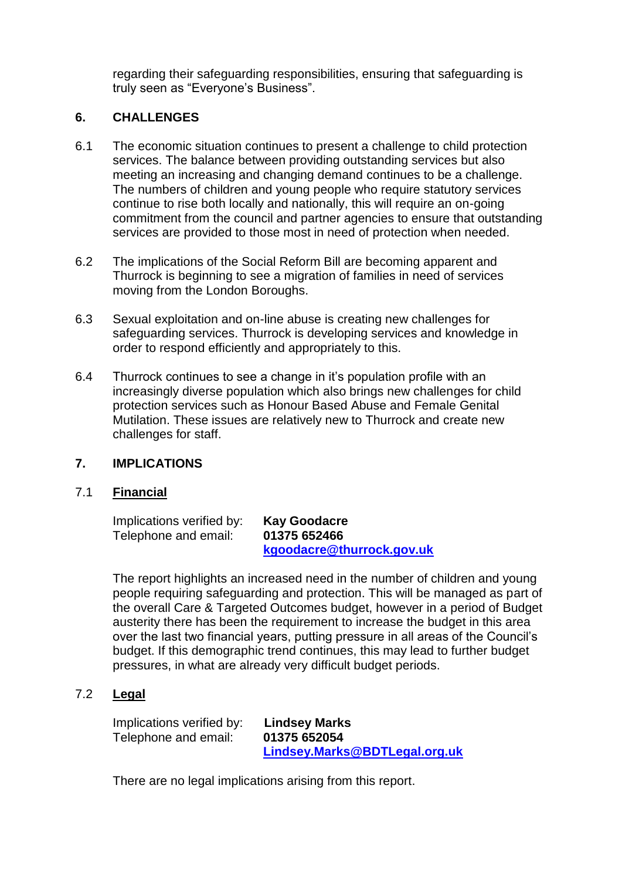regarding their safeguarding responsibilities, ensuring that safeguarding is truly seen as "Everyone's Business".

#### **6. CHALLENGES**

- 6.1 The economic situation continues to present a challenge to child protection services. The balance between providing outstanding services but also meeting an increasing and changing demand continues to be a challenge. The numbers of children and young people who require statutory services continue to rise both locally and nationally, this will require an on-going commitment from the council and partner agencies to ensure that outstanding services are provided to those most in need of protection when needed.
- 6.2 The implications of the Social Reform Bill are becoming apparent and Thurrock is beginning to see a migration of families in need of services moving from the London Boroughs.
- 6.3 Sexual exploitation and on-line abuse is creating new challenges for safeguarding services. Thurrock is developing services and knowledge in order to respond efficiently and appropriately to this.
- 6.4 Thurrock continues to see a change in it's population profile with an increasingly diverse population which also brings new challenges for child protection services such as Honour Based Abuse and Female Genital Mutilation. These issues are relatively new to Thurrock and create new challenges for staff.

#### **7. IMPLICATIONS**

### 7.1 **Financial**

Implications verified by: **Kay Goodacre** Telephone and email: **01375 652466**

**[kgoodacre@thurrock.gov.uk](mailto:kgoodacre@thurrock.gov.uk)**

The report highlights an increased need in the number of children and young people requiring safeguarding and protection. This will be managed as part of the overall Care & Targeted Outcomes budget, however in a period of Budget austerity there has been the requirement to increase the budget in this area over the last two financial years, putting pressure in all areas of the Council's budget. If this demographic trend continues, this may lead to further budget pressures, in what are already very difficult budget periods.

## 7.2 **Legal**

Implications verified by: **Lindsey Marks** Telephone and email: **01375 652054**

**[Lindsey.Marks@BDTLegal.org.uk](mailto:Lindsey.Marks@BDTLegal.org.uk)**

There are no legal implications arising from this report.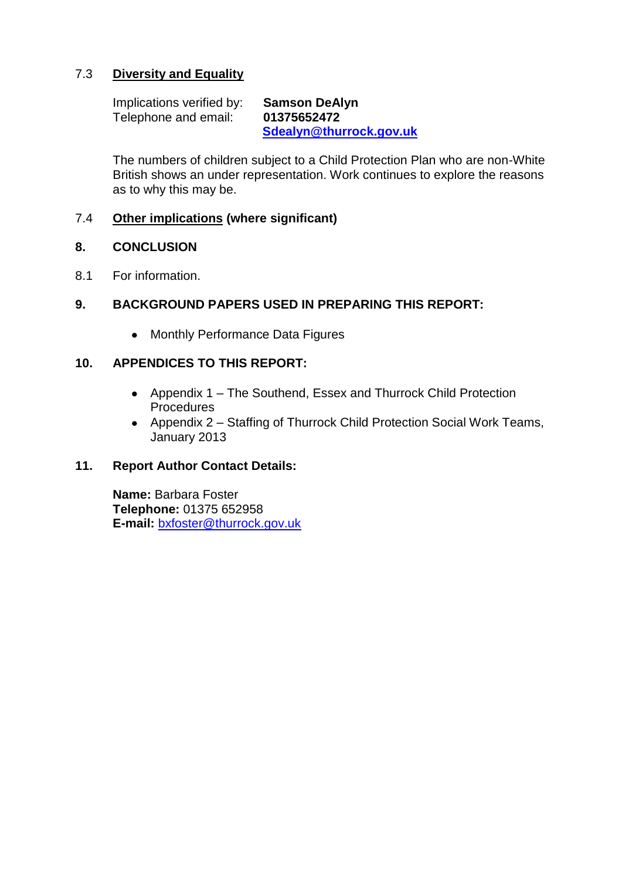## 7.3 **Diversity and Equality**

Implications verified by: **Samson DeAlyn** Telephone and email: **01375652472 [Sdealyn@thurrock.gov.uk](mailto:Sdealyn@thurrock.gov.uk)** 

The numbers of children subject to a Child Protection Plan who are non-White British shows an under representation. Work continues to explore the reasons as to why this may be.

#### 7.4 **Other implications (where significant)**

#### **8. CONCLUSION**

8.1 For information.

### **9. BACKGROUND PAPERS USED IN PREPARING THIS REPORT:**

• Monthly Performance Data Figures

### **10. APPENDICES TO THIS REPORT:**

- Appendix 1 The Southend, Essex and Thurrock Child Protection Procedures
- Appendix 2 Staffing of Thurrock Child Protection Social Work Teams, January 2013

#### **11. Report Author Contact Details:**

**Name:** Barbara Foster **Telephone:** 01375 652958 **E-mail:** [bxfoster@thurrock.gov.uk](mailto:bxfoster@thurrock.gov.uk)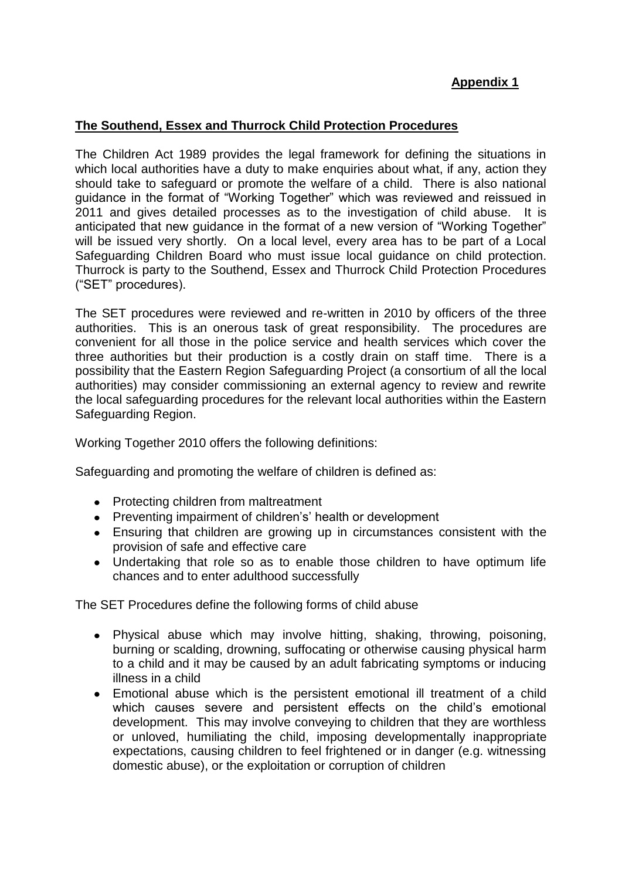## **Appendix 1**

## **The Southend, Essex and Thurrock Child Protection Procedures**

The Children Act 1989 provides the legal framework for defining the situations in which local authorities have a duty to make enquiries about what, if any, action they should take to safeguard or promote the welfare of a child. There is also national guidance in the format of "Working Together" which was reviewed and reissued in 2011 and gives detailed processes as to the investigation of child abuse. It is anticipated that new guidance in the format of a new version of "Working Together" will be issued very shortly. On a local level, every area has to be part of a Local Safeguarding Children Board who must issue local guidance on child protection. Thurrock is party to the Southend, Essex and Thurrock Child Protection Procedures ("SET" procedures).

The SET procedures were reviewed and re-written in 2010 by officers of the three authorities. This is an onerous task of great responsibility. The procedures are convenient for all those in the police service and health services which cover the three authorities but their production is a costly drain on staff time. There is a possibility that the Eastern Region Safeguarding Project (a consortium of all the local authorities) may consider commissioning an external agency to review and rewrite the local safeguarding procedures for the relevant local authorities within the Eastern Safeguarding Region.

Working Together 2010 offers the following definitions:

Safeguarding and promoting the welfare of children is defined as:

- Protecting children from maltreatment
- Preventing impairment of children's' health or development
- Ensuring that children are growing up in circumstances consistent with the provision of safe and effective care
- Undertaking that role so as to enable those children to have optimum life chances and to enter adulthood successfully

The SET Procedures define the following forms of child abuse

- Physical abuse which may involve hitting, shaking, throwing, poisoning,  $\bullet$ burning or scalding, drowning, suffocating or otherwise causing physical harm to a child and it may be caused by an adult fabricating symptoms or inducing illness in a child
- Emotional abuse which is the persistent emotional ill treatment of a child which causes severe and persistent effects on the child's emotional development. This may involve conveying to children that they are worthless or unloved, humiliating the child, imposing developmentally inappropriate expectations, causing children to feel frightened or in danger (e.g. witnessing domestic abuse), or the exploitation or corruption of children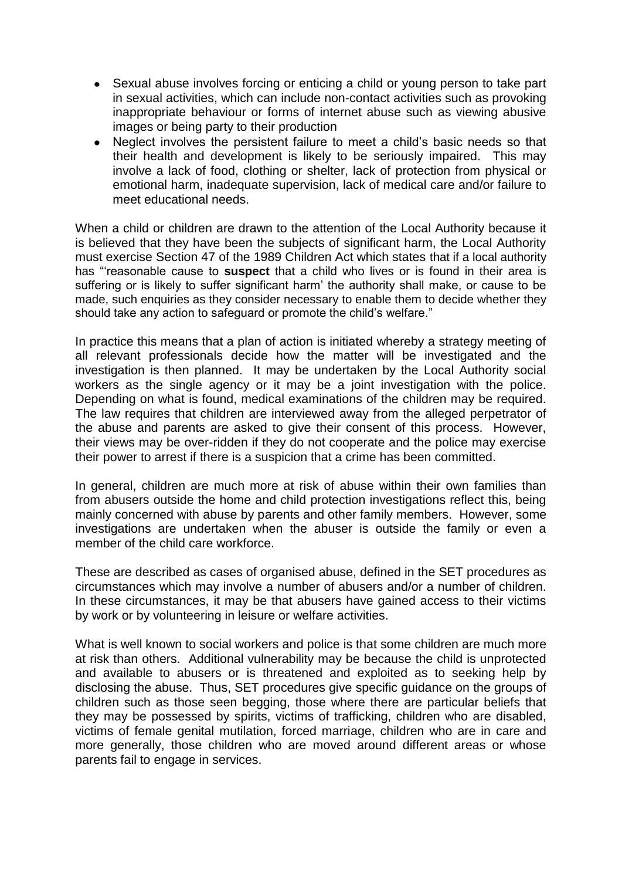- Sexual abuse involves forcing or enticing a child or young person to take part in sexual activities, which can include non-contact activities such as provoking inappropriate behaviour or forms of internet abuse such as viewing abusive images or being party to their production
- Neglect involves the persistent failure to meet a child's basic needs so that  $\bullet$ their health and development is likely to be seriously impaired. This may involve a lack of food, clothing or shelter, lack of protection from physical or emotional harm, inadequate supervision, lack of medical care and/or failure to meet educational needs.

When a child or children are drawn to the attention of the Local Authority because it is believed that they have been the subjects of significant harm, the Local Authority must exercise Section 47 of the 1989 Children Act which states that if a local authority has "'reasonable cause to **suspect** that a child who lives or is found in their area is suffering or is likely to suffer significant harm' the authority shall make, or cause to be made, such enquiries as they consider necessary to enable them to decide whether they should take any action to safeguard or promote the child's welfare."

In practice this means that a plan of action is initiated whereby a strategy meeting of all relevant professionals decide how the matter will be investigated and the investigation is then planned. It may be undertaken by the Local Authority social workers as the single agency or it may be a joint investigation with the police. Depending on what is found, medical examinations of the children may be required. The law requires that children are interviewed away from the alleged perpetrator of the abuse and parents are asked to give their consent of this process. However, their views may be over-ridden if they do not cooperate and the police may exercise their power to arrest if there is a suspicion that a crime has been committed.

In general, children are much more at risk of abuse within their own families than from abusers outside the home and child protection investigations reflect this, being mainly concerned with abuse by parents and other family members. However, some investigations are undertaken when the abuser is outside the family or even a member of the child care workforce.

These are described as cases of organised abuse, defined in the SET procedures as circumstances which may involve a number of abusers and/or a number of children. In these circumstances, it may be that abusers have gained access to their victims by work or by volunteering in leisure or welfare activities.

What is well known to social workers and police is that some children are much more at risk than others. Additional vulnerability may be because the child is unprotected and available to abusers or is threatened and exploited as to seeking help by disclosing the abuse. Thus, SET procedures give specific guidance on the groups of children such as those seen begging, those where there are particular beliefs that they may be possessed by spirits, victims of trafficking, children who are disabled, victims of female genital mutilation, forced marriage, children who are in care and more generally, those children who are moved around different areas or whose parents fail to engage in services.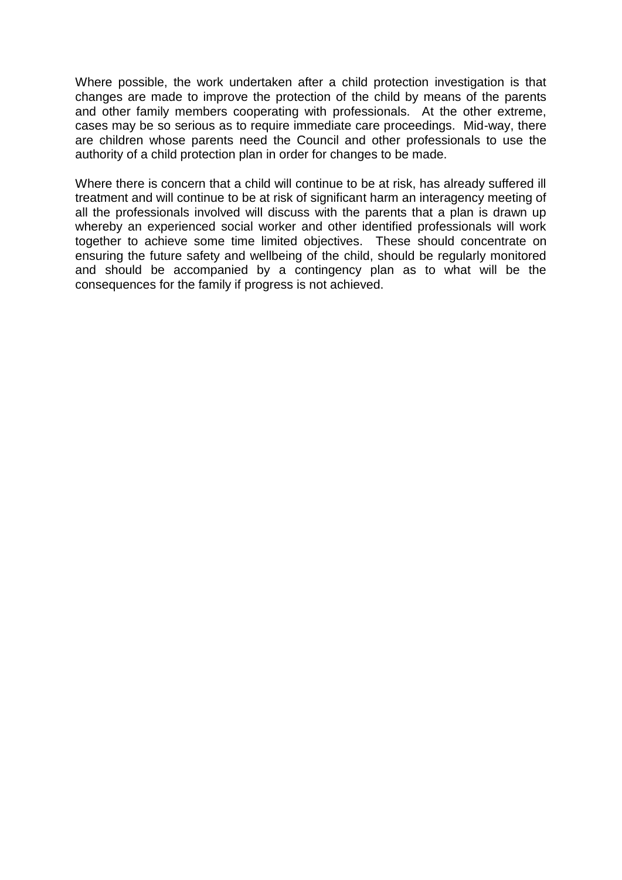Where possible, the work undertaken after a child protection investigation is that changes are made to improve the protection of the child by means of the parents and other family members cooperating with professionals. At the other extreme, cases may be so serious as to require immediate care proceedings. Mid-way, there are children whose parents need the Council and other professionals to use the authority of a child protection plan in order for changes to be made.

Where there is concern that a child will continue to be at risk, has already suffered ill treatment and will continue to be at risk of significant harm an interagency meeting of all the professionals involved will discuss with the parents that a plan is drawn up whereby an experienced social worker and other identified professionals will work together to achieve some time limited objectives. These should concentrate on ensuring the future safety and wellbeing of the child, should be regularly monitored and should be accompanied by a contingency plan as to what will be the consequences for the family if progress is not achieved.